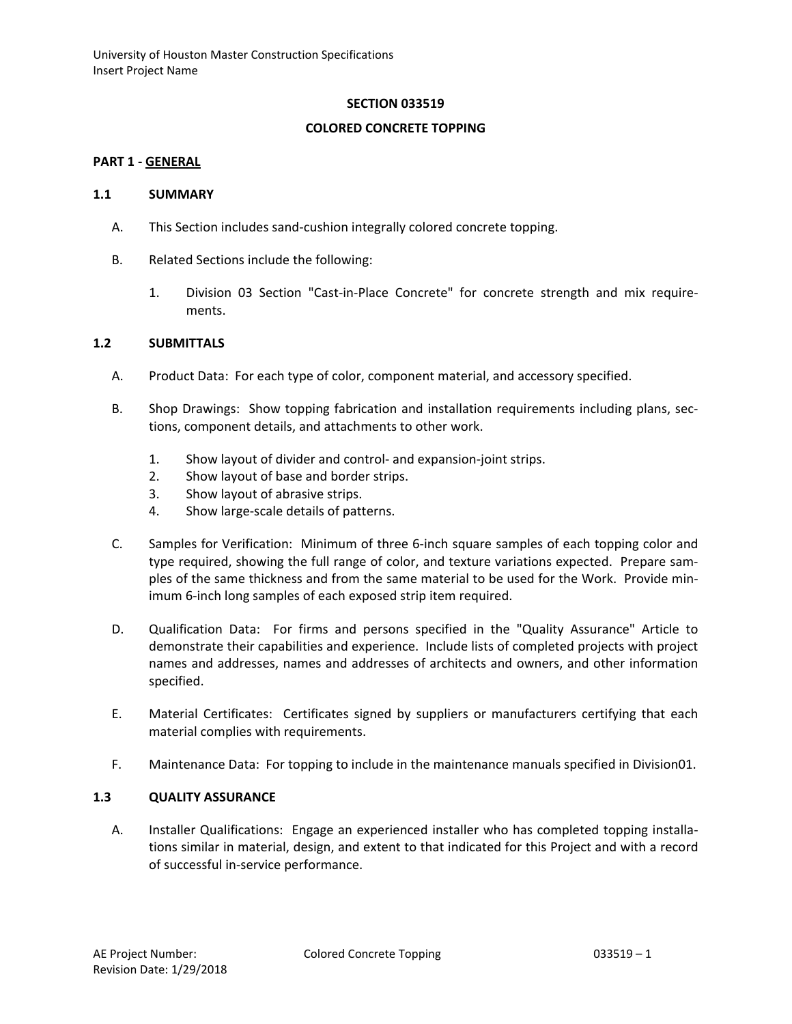#### **SECTION 033519**

#### **COLORED CONCRETE TOPPING**

#### **PART 1 - GENERAL**

#### **1.1 SUMMARY**

- A. This Section includes sand-cushion integrally colored concrete topping.
- B. Related Sections include the following:
	- 1. Division 03 Section "Cast-in-Place Concrete" for concrete strength and mix requirements.

### **1.2 SUBMITTALS**

- A. Product Data: For each type of color, component material, and accessory specified.
- B. Shop Drawings: Show topping fabrication and installation requirements including plans, sections, component details, and attachments to other work.
	- 1. Show layout of divider and control- and expansion-joint strips.
	- 2. Show layout of base and border strips.
	- 3. Show layout of abrasive strips.
	- 4. Show large-scale details of patterns.
- C. Samples for Verification: Minimum of three 6-inch square samples of each topping color and type required, showing the full range of color, and texture variations expected. Prepare samples of the same thickness and from the same material to be used for the Work. Provide minimum 6-inch long samples of each exposed strip item required.
- D. Qualification Data: For firms and persons specified in the "Quality Assurance" Article to demonstrate their capabilities and experience. Include lists of completed projects with project names and addresses, names and addresses of architects and owners, and other information specified.
- E. Material Certificates: Certificates signed by suppliers or manufacturers certifying that each material complies with requirements.
- F. Maintenance Data: For topping to include in the maintenance manuals specified in Division01.

## **1.3 QUALITY ASSURANCE**

A. Installer Qualifications: Engage an experienced installer who has completed topping installations similar in material, design, and extent to that indicated for this Project and with a record of successful in-service performance.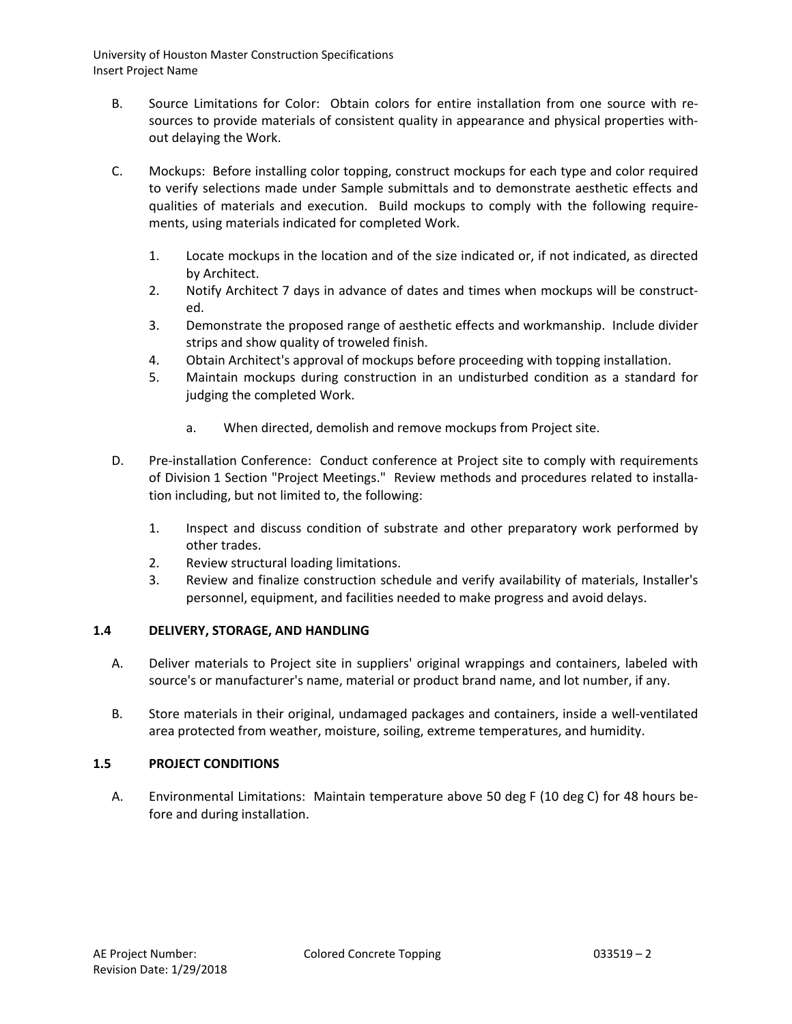- B. Source Limitations for Color: Obtain colors for entire installation from one source with resources to provide materials of consistent quality in appearance and physical properties without delaying the Work.
- C. Mockups: Before installing color topping, construct mockups for each type and color required to verify selections made under Sample submittals and to demonstrate aesthetic effects and qualities of materials and execution. Build mockups to comply with the following requirements, using materials indicated for completed Work.
	- 1. Locate mockups in the location and of the size indicated or, if not indicated, as directed by Architect.
	- 2. Notify Architect 7 days in advance of dates and times when mockups will be constructed.
	- 3. Demonstrate the proposed range of aesthetic effects and workmanship. Include divider strips and show quality of troweled finish.
	- 4. Obtain Architect's approval of mockups before proceeding with topping installation.
	- 5. Maintain mockups during construction in an undisturbed condition as a standard for judging the completed Work.
		- a. When directed, demolish and remove mockups from Project site.
- D. Pre-installation Conference: Conduct conference at Project site to comply with requirements of Division 1 Section "Project Meetings." Review methods and procedures related to installation including, but not limited to, the following:
	- 1. Inspect and discuss condition of substrate and other preparatory work performed by other trades.
	- 2. Review structural loading limitations.
	- 3. Review and finalize construction schedule and verify availability of materials, Installer's personnel, equipment, and facilities needed to make progress and avoid delays.

### **1.4 DELIVERY, STORAGE, AND HANDLING**

- A. Deliver materials to Project site in suppliers' original wrappings and containers, labeled with source's or manufacturer's name, material or product brand name, and lot number, if any.
- B. Store materials in their original, undamaged packages and containers, inside a well-ventilated area protected from weather, moisture, soiling, extreme temperatures, and humidity.

# **1.5 PROJECT CONDITIONS**

A. Environmental Limitations: Maintain temperature above 50 deg F (10 deg C) for 48 hours before and during installation.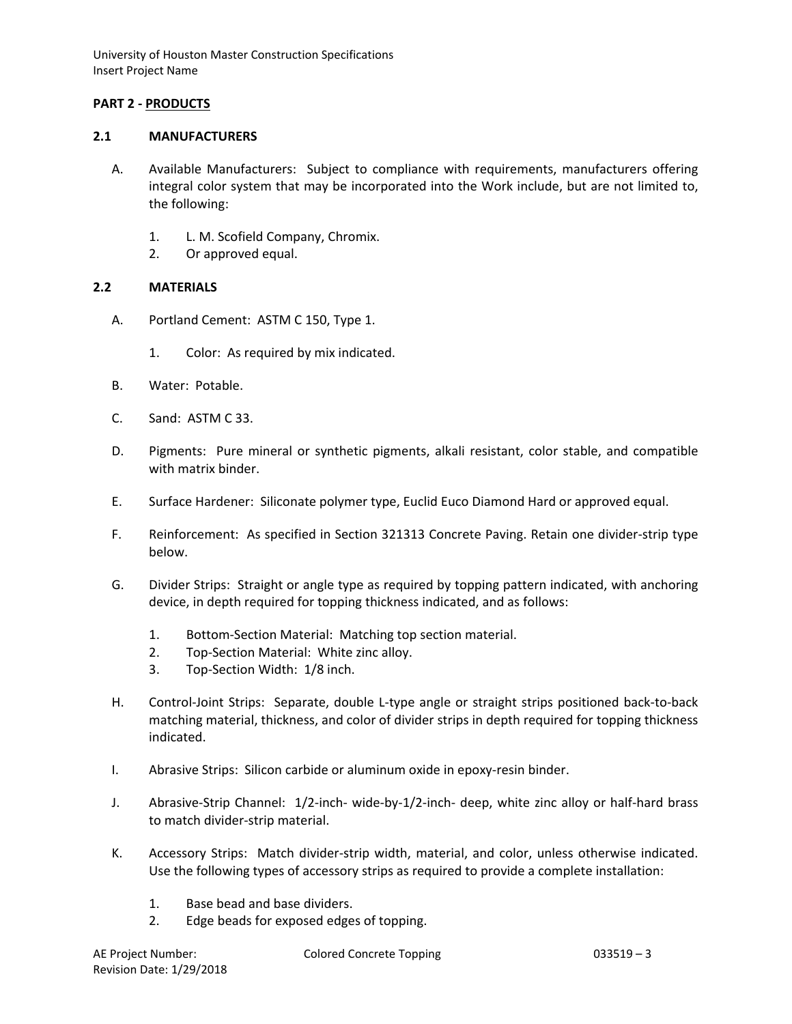## **PART 2 - PRODUCTS**

#### **2.1 MANUFACTURERS**

- A. Available Manufacturers: Subject to compliance with requirements, manufacturers offering integral color system that may be incorporated into the Work include, but are not limited to, the following:
	- 1. L. M. Scofield Company, Chromix.
	- 2. Or approved equal.

#### **2.2 MATERIALS**

- A. Portland Cement: ASTM C 150, Type 1.
	- 1. Color: As required by mix indicated.
- B. Water: Potable.
- C. Sand: ASTM C 33.
- D. Pigments: Pure mineral or synthetic pigments, alkali resistant, color stable, and compatible with matrix binder.
- E. Surface Hardener: Siliconate polymer type, Euclid Euco Diamond Hard or approved equal.
- F. Reinforcement: As specified in Section 321313 Concrete Paving. Retain one divider-strip type below.
- G. Divider Strips: Straight or angle type as required by topping pattern indicated, with anchoring device, in depth required for topping thickness indicated, and as follows:
	- 1. Bottom-Section Material: Matching top section material.
	- 2. Top-Section Material: White zinc alloy.
	- 3. Top-Section Width: 1/8 inch.
- H. Control-Joint Strips: Separate, double L-type angle or straight strips positioned back-to-back matching material, thickness, and color of divider strips in depth required for topping thickness indicated.
- I. Abrasive Strips: Silicon carbide or aluminum oxide in epoxy-resin binder.
- J. Abrasive-Strip Channel: 1/2-inch- wide-by-1/2-inch- deep, white zinc alloy or half-hard brass to match divider-strip material.
- K. Accessory Strips: Match divider-strip width, material, and color, unless otherwise indicated. Use the following types of accessory strips as required to provide a complete installation:
	- 1. Base bead and base dividers.
	- 2. Edge beads for exposed edges of topping.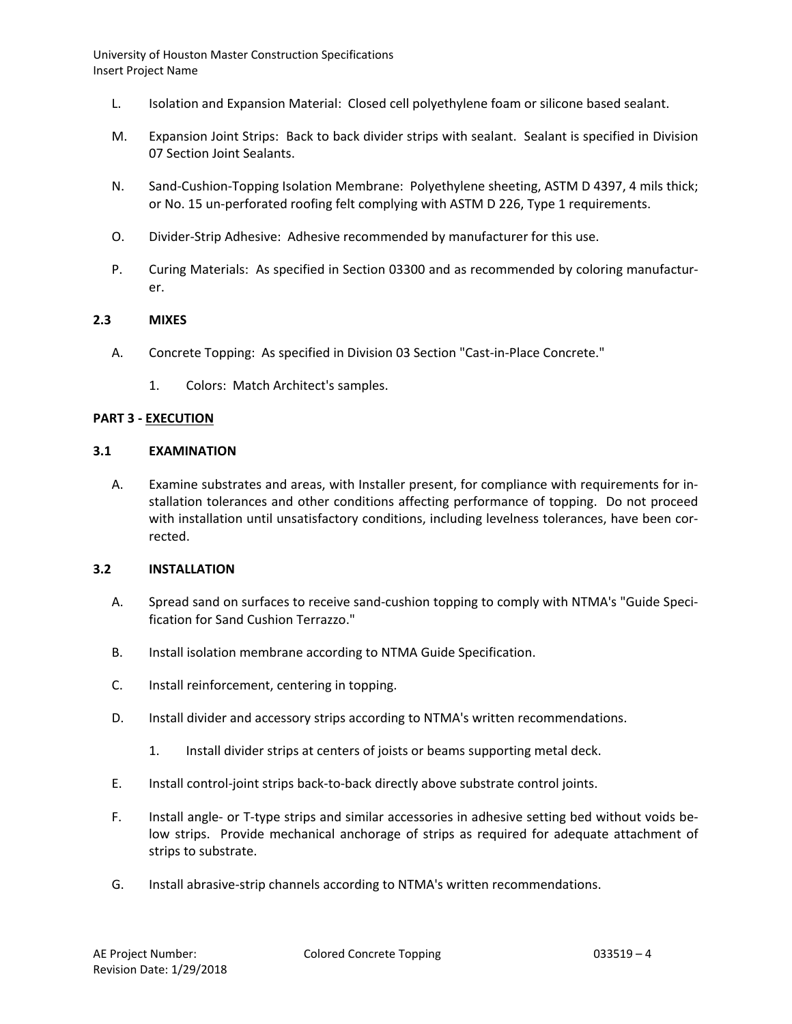- L. Isolation and Expansion Material: Closed cell polyethylene foam or silicone based sealant.
- M. Expansion Joint Strips: Back to back divider strips with sealant. Sealant is specified in Division 07 Section Joint Sealants.
- N. Sand-Cushion-Topping Isolation Membrane: Polyethylene sheeting, ASTM D 4397, 4 mils thick; or No. 15 un-perforated roofing felt complying with ASTM D 226, Type 1 requirements.
- O. Divider-Strip Adhesive: Adhesive recommended by manufacturer for this use.
- P. Curing Materials: As specified in Section 03300 and as recommended by coloring manufacturer.

### **2.3 MIXES**

- A. Concrete Topping: As specified in Division 03 Section "Cast-in-Place Concrete."
	- 1. Colors: Match Architect's samples.

#### **PART 3 - EXECUTION**

#### **3.1 EXAMINATION**

A. Examine substrates and areas, with Installer present, for compliance with requirements for installation tolerances and other conditions affecting performance of topping. Do not proceed with installation until unsatisfactory conditions, including levelness tolerances, have been corrected.

#### **3.2 INSTALLATION**

- A. Spread sand on surfaces to receive sand-cushion topping to comply with NTMA's "Guide Specification for Sand Cushion Terrazzo."
- B. Install isolation membrane according to NTMA Guide Specification.
- C. Install reinforcement, centering in topping.
- D. Install divider and accessory strips according to NTMA's written recommendations.
	- 1. Install divider strips at centers of joists or beams supporting metal deck.
- E. Install control-joint strips back-to-back directly above substrate control joints.
- F. Install angle- or T-type strips and similar accessories in adhesive setting bed without voids below strips. Provide mechanical anchorage of strips as required for adequate attachment of strips to substrate.
- G. Install abrasive-strip channels according to NTMA's written recommendations.